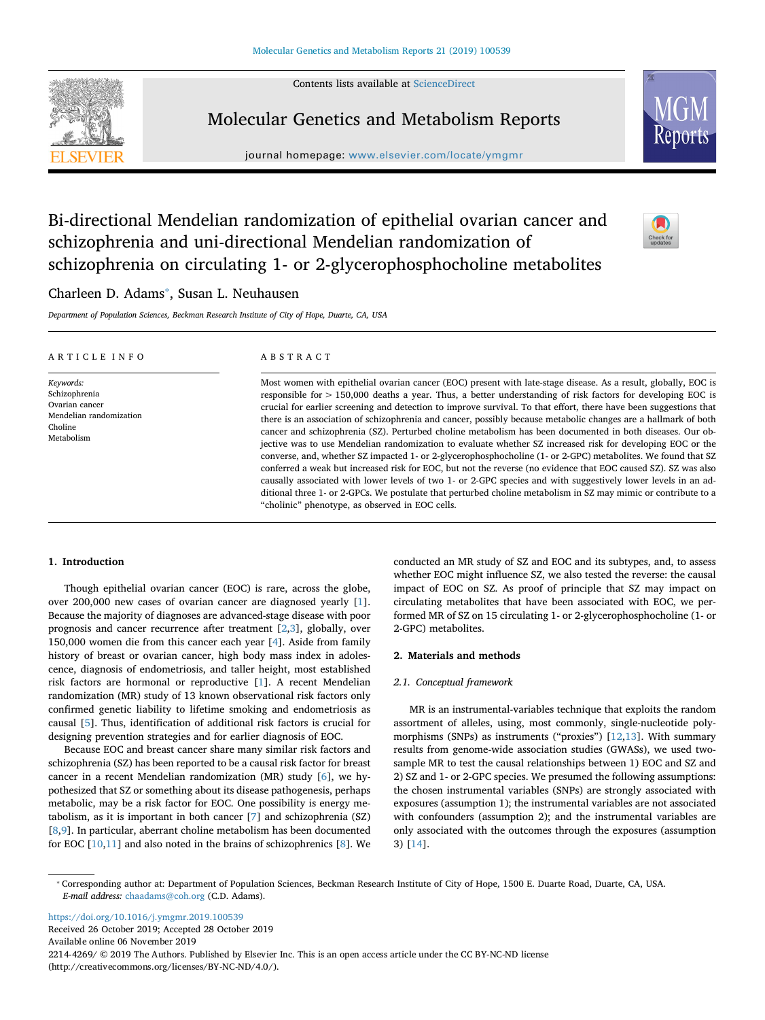Contents lists available at [ScienceDirect](http://www.sciencedirect.com/science/journal/22144269)



Molecular Genetics and Metabolism Reports

journal homepage: [www.elsevier.com/locate/ymgmr](https://www.elsevier.com/locate/ymgmr)



# Bi-directional Mendelian randomization of epithelial ovarian cancer and schizophrenia and uni-directional Mendelian randomization of schizophrenia on circulating 1- or 2-glycerophosphocholine metabolites



# Charleen D. Adams<sup>\*</sup>, Susan L. Neuhausen

*Department of Population Sciences, Beckman Research Institute of City of Hope, Duarte, CA, USA*

| ARTICLE INFO                                                                                     | ABSTRACT                                                                                                                                                                                                                                                                                                                                                                                                                                                                                                                                                                                                                                                                                                                                                                                                                                                                                                                                                                                                                                                                                                                                                                                                                  |
|--------------------------------------------------------------------------------------------------|---------------------------------------------------------------------------------------------------------------------------------------------------------------------------------------------------------------------------------------------------------------------------------------------------------------------------------------------------------------------------------------------------------------------------------------------------------------------------------------------------------------------------------------------------------------------------------------------------------------------------------------------------------------------------------------------------------------------------------------------------------------------------------------------------------------------------------------------------------------------------------------------------------------------------------------------------------------------------------------------------------------------------------------------------------------------------------------------------------------------------------------------------------------------------------------------------------------------------|
| Keywords:<br>Schizophrenia<br>Ovarian cancer<br>Mendelian randomization<br>Choline<br>Metabolism | Most women with epithelial ovarian cancer (EOC) present with late-stage disease. As a result, globally, EOC is<br>responsible for $> 150,000$ deaths a year. Thus, a better understanding of risk factors for developing EOC is<br>crucial for earlier screening and detection to improve survival. To that effort, there have been suggestions that<br>there is an association of schizophrenia and cancer, possibly because metabolic changes are a hallmark of both<br>cancer and schizophrenia (SZ). Perturbed choline metabolism has been documented in both diseases. Our ob-<br>jective was to use Mendelian randomization to evaluate whether SZ increased risk for developing EOC or the<br>converse, and, whether SZ impacted 1- or 2-glycerophosphocholine (1- or 2-GPC) metabolites. We found that SZ<br>conferred a weak but increased risk for EOC, but not the reverse (no evidence that EOC caused SZ). SZ was also<br>causally associated with lower levels of two 1- or 2-GPC species and with suggestively lower levels in an ad-<br>ditional three 1- or 2-GPCs. We postulate that perturbed choline metabolism in SZ may mimic or contribute to a<br>"cholinic" phenotype, as observed in EOC cells. |

# **1. Introduction**

Though epithelial ovarian cancer (EOC) is rare, across the globe, over 200,000 new cases of ovarian cancer are diagnosed yearly [[1](#page-4-0)]. Because the majority of diagnoses are advanced-stage disease with poor prognosis and cancer recurrence after treatment [\[2,](#page-4-1)[3](#page-4-2)], globally, over 150,000 women die from this cancer each year [\[4\]](#page-4-3). Aside from family history of breast or ovarian cancer, high body mass index in adolescence, diagnosis of endometriosis, and taller height, most established risk factors are hormonal or reproductive [\[1\]](#page-4-0). A recent Mendelian randomization (MR) study of 13 known observational risk factors only confirmed genetic liability to lifetime smoking and endometriosis as causal [[5](#page-4-4)]. Thus, identification of additional risk factors is crucial for designing prevention strategies and for earlier diagnosis of EOC.

Because EOC and breast cancer share many similar risk factors and schizophrenia (SZ) has been reported to be a causal risk factor for breast cancer in a recent Mendelian randomization (MR) study [\[6\]](#page-4-5), we hypothesized that SZ or something about its disease pathogenesis, perhaps metabolic, may be a risk factor for EOC. One possibility is energy metabolism, as it is important in both cancer [\[7\]](#page-4-6) and schizophrenia (SZ) [[8](#page-4-7),[9](#page-4-8)]. In particular, aberrant choline metabolism has been documented for EOC [\[10](#page-4-9)[,11](#page-4-10)] and also noted in the brains of schizophrenics [[8](#page-4-7)]. We conducted an MR study of SZ and EOC and its subtypes, and, to assess whether EOC might influence SZ, we also tested the reverse: the causal impact of EOC on SZ. As proof of principle that SZ may impact on circulating metabolites that have been associated with EOC, we performed MR of SZ on 15 circulating 1- or 2-glycerophosphocholine (1- or 2-GPC) metabolites.

# **2. Materials and methods**

#### *2.1. Conceptual framework*

MR is an instrumental-variables technique that exploits the random assortment of alleles, using, most commonly, single-nucleotide polymorphisms (SNPs) as instruments ("proxies") [[12,](#page-4-11)[13\]](#page-4-12). With summary results from genome-wide association studies (GWASs), we used twosample MR to test the causal relationships between 1) EOC and SZ and 2) SZ and 1- or 2-GPC species. We presumed the following assumptions: the chosen instrumental variables (SNPs) are strongly associated with exposures (assumption 1); the instrumental variables are not associated with confounders (assumption 2); and the instrumental variables are only associated with the outcomes through the exposures (assumption 3) [\[14](#page-4-13)].

<span id="page-0-0"></span>⁎ Corresponding author at: Department of Population Sciences, Beckman Research Institute of City of Hope, 1500 E. Duarte Road, Duarte, CA, USA. *E-mail address:* [chaadams@coh.org](mailto:chaadams@coh.org) (C.D. Adams).

<https://doi.org/10.1016/j.ymgmr.2019.100539> Received 26 October 2019; Accepted 28 October 2019

Available online 06 November 2019

2214-4269/ © 2019 The Authors. Published by Elsevier Inc. This is an open access article under the CC BY-NC-ND license (http://creativecommons.org/licenses/BY-NC-ND/4.0/).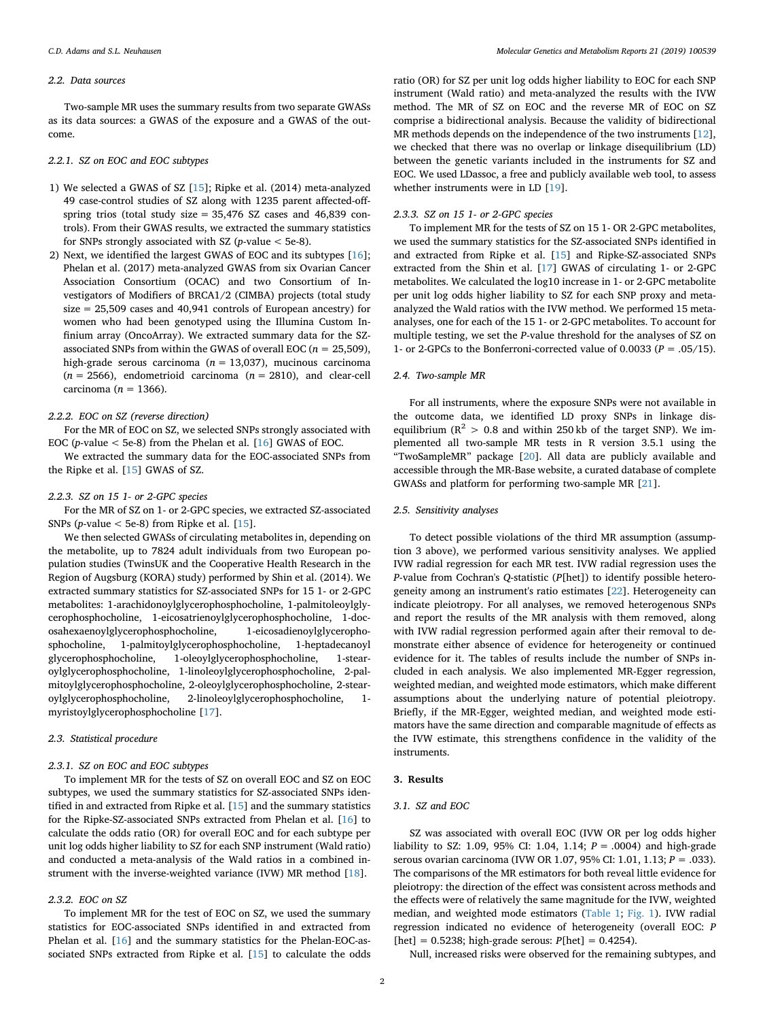#### *2.2. Data sources*

Two-sample MR uses the summary results from two separate GWASs as its data sources: a GWAS of the exposure and a GWAS of the outcome.

# *2.2.1. SZ on EOC and EOC subtypes*

- 1) We selected a GWAS of SZ [\[15](#page-4-14)]; Ripke et al. (2014) meta-analyzed 49 case-control studies of SZ along with 1235 parent affected-offspring trios (total study size  $= 35,476$  SZ cases and 46,839 controls). From their GWAS results, we extracted the summary statistics for SNPs strongly associated with SZ (*p*-value < 5e-8).
- 2) Next, we identified the largest GWAS of EOC and its subtypes [\[16](#page-4-15)]; Phelan et al. (2017) meta-analyzed GWAS from six Ovarian Cancer Association Consortium (OCAC) and two Consortium of Investigators of Modifiers of BRCA1/2 (CIMBA) projects (total study size = 25,509 cases and 40,941 controls of European ancestry) for women who had been genotyped using the Illumina Custom Infinium array (OncoArray). We extracted summary data for the SZassociated SNPs from within the GWAS of overall EOC (*n* = 25,509), high-grade serous carcinoma (*n* = 13,037), mucinous carcinoma  $(n = 2566)$ , endometrioid carcinoma  $(n = 2810)$ , and clear-cell carcinoma (*n* = 1366).

#### *2.2.2. EOC on SZ (reverse direction)*

For the MR of EOC on SZ, we selected SNPs strongly associated with EOC (*p*-value < 5e-8) from the Phelan et al. [\[16](#page-4-15)] GWAS of EOC.

We extracted the summary data for the EOC-associated SNPs from the Ripke et al. [\[15](#page-4-14)] GWAS of SZ.

#### *2.2.3. SZ on 15 1- or 2-GPC species*

For the MR of SZ on 1- or 2-GPC species, we extracted SZ-associated SNPs (*p*-value  $<$  5e-8) from Ripke et al. [\[15\]](#page-4-14).

We then selected GWASs of circulating metabolites in, depending on the metabolite, up to 7824 adult individuals from two European population studies (TwinsUK and the Cooperative Health Research in the Region of Augsburg (KORA) study) performed by Shin et al. (2014). We extracted summary statistics for SZ-associated SNPs for 15 1- or 2-GPC metabolites: 1-arachidonoylglycerophosphocholine, 1-palmitoleoylglycerophosphocholine, 1-eicosatrienoylglycerophosphocholine, 1-docosahexaenoylglycerophosphocholine, 1-eicosadienoylglycerophosphocholine, 1-palmitoylglycerophosphocholine, 1-heptadecanoyl glycerophosphocholine, 1-oleoylglycerophosphocholine, 1-stearoylglycerophosphocholine, 1-linoleoylglycerophosphocholine, 2-palmitoylglycerophosphocholine, 2-oleoylglycerophosphocholine, 2-stearoylglycerophosphocholine, 2-linoleoylglycerophosphocholine, 1 myristoylglycerophosphocholine [[17\]](#page-4-16).

# *2.3. Statistical procedure*

#### *2.3.1. SZ on EOC and EOC subtypes*

To implement MR for the tests of SZ on overall EOC and SZ on EOC subtypes, we used the summary statistics for SZ-associated SNPs identified in and extracted from Ripke et al. [[15\]](#page-4-14) and the summary statistics for the Ripke-SZ-associated SNPs extracted from Phelan et al. [\[16](#page-4-15)] to calculate the odds ratio (OR) for overall EOC and for each subtype per unit log odds higher liability to SZ for each SNP instrument (Wald ratio) and conducted a meta-analysis of the Wald ratios in a combined instrument with the inverse-weighted variance (IVW) MR method [\[18](#page-4-17)].

#### *2.3.2. EOC on SZ*

To implement MR for the test of EOC on SZ, we used the summary statistics for EOC-associated SNPs identified in and extracted from Phelan et al. [\[16](#page-4-15)] and the summary statistics for the Phelan-EOC-associated SNPs extracted from Ripke et al. [\[15](#page-4-14)] to calculate the odds ratio (OR) for SZ per unit log odds higher liability to EOC for each SNP instrument (Wald ratio) and meta-analyzed the results with the IVW method. The MR of SZ on EOC and the reverse MR of EOC on SZ comprise a bidirectional analysis. Because the validity of bidirectional MR methods depends on the independence of the two instruments [\[12](#page-4-11)], we checked that there was no overlap or linkage disequilibrium (LD) between the genetic variants included in the instruments for SZ and EOC. We used LDassoc, a free and publicly available web tool, to assess whether instruments were in LD [[19\]](#page-4-18).

# *2.3.3. SZ on 15 1- or 2-GPC species*

To implement MR for the tests of SZ on 15 1- OR 2-GPC metabolites, we used the summary statistics for the SZ-associated SNPs identified in and extracted from Ripke et al. [\[15](#page-4-14)] and Ripke-SZ-associated SNPs extracted from the Shin et al. [[17\]](#page-4-16) GWAS of circulating 1- or 2-GPC metabolites. We calculated the log10 increase in 1- or 2-GPC metabolite per unit log odds higher liability to SZ for each SNP proxy and metaanalyzed the Wald ratios with the IVW method. We performed 15 metaanalyses, one for each of the 15 1- or 2-GPC metabolites. To account for multiple testing, we set the *P*-value threshold for the analyses of SZ on 1- or 2-GPCs to the Bonferroni-corrected value of  $0.0033$  ( $P = .05/15$ ).

#### *2.4. Two-sample MR*

For all instruments, where the exposure SNPs were not available in the outcome data, we identified LD proxy SNPs in linkage disequilibrium ( $R^2 > 0.8$  and within 250 kb of the target SNP). We implemented all two-sample MR tests in R version 3.5.1 using the "TwoSampleMR" package [[20\]](#page-4-19). All data are publicly available and accessible through the MR-Base website, a curated database of complete GWASs and platform for performing two-sample MR [[21\]](#page-4-20).

# *2.5. Sensitivity analyses*

To detect possible violations of the third MR assumption (assumption 3 above), we performed various sensitivity analyses. We applied IVW radial regression for each MR test. IVW radial regression uses the *P*-value from Cochran's *Q*-statistic (*P*[het]) to identify possible heterogeneity among an instrument's ratio estimates [[22\]](#page-4-21). Heterogeneity can indicate pleiotropy. For all analyses, we removed heterogenous SNPs and report the results of the MR analysis with them removed, along with IVW radial regression performed again after their removal to demonstrate either absence of evidence for heterogeneity or continued evidence for it. The tables of results include the number of SNPs included in each analysis. We also implemented MR-Egger regression, weighted median, and weighted mode estimators, which make different assumptions about the underlying nature of potential pleiotropy. Briefly, if the MR-Egger, weighted median, and weighted mode estimators have the same direction and comparable magnitude of effects as the IVW estimate, this strengthens confidence in the validity of the instruments.

#### **3. Results**

# *3.1. SZ and EOC*

SZ was associated with overall EOC (IVW OR per log odds higher liability to SZ: 1.09, 95% CI: 1.04, 1.14; *P* = .0004) and high-grade serous ovarian carcinoma (IVW OR 1.07, 95% CI: 1.01, 1.13; *P* = .033). The comparisons of the MR estimators for both reveal little evidence for pleiotropy: the direction of the effect was consistent across methods and the effects were of relatively the same magnitude for the IVW, weighted median, and weighted mode estimators [\(Table 1](#page-2-0); [Fig. 1\)](#page-2-1). IVW radial regression indicated no evidence of heterogeneity (overall EOC: *P* [het] = 0.5238; high-grade serous: *P*[het] = 0.4254).

Null, increased risks were observed for the remaining subtypes, and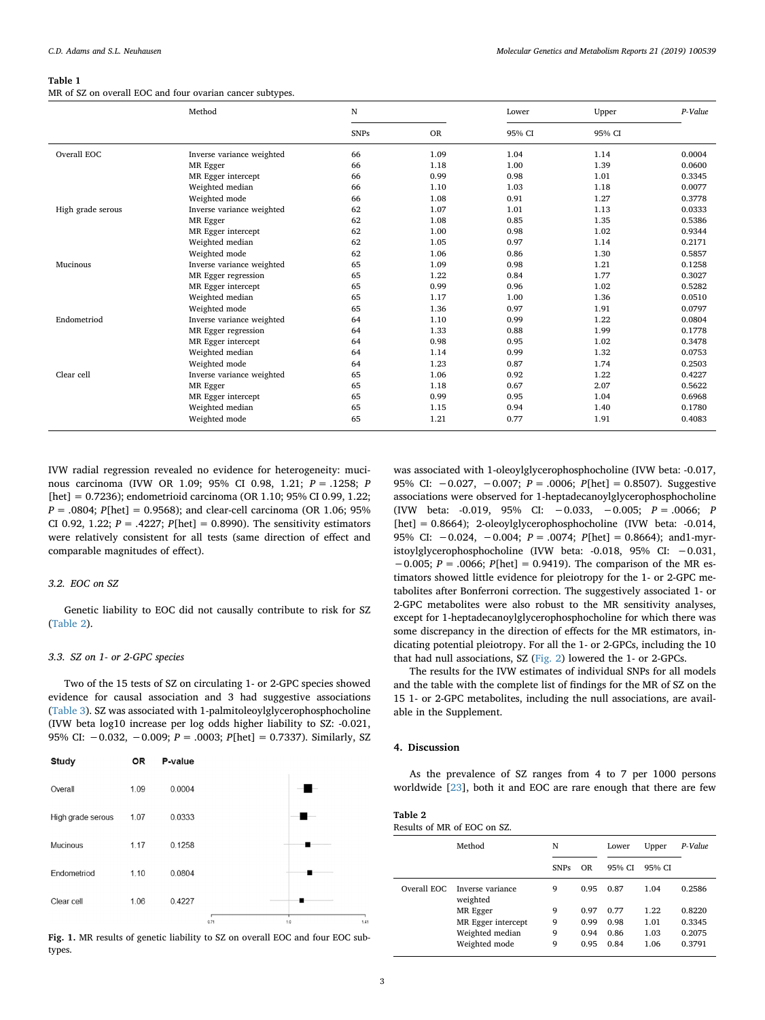#### <span id="page-2-0"></span>**Table 1**

MR of SZ on overall EOC and four ovarian cancer subtypes.

|                   | Method                    | N           |           | Lower  | Upper  | P-Value |
|-------------------|---------------------------|-------------|-----------|--------|--------|---------|
|                   |                           | <b>SNPs</b> | <b>OR</b> | 95% CI | 95% CI |         |
| Overall EOC       | Inverse variance weighted | 66          | 1.09      | 1.04   | 1.14   | 0.0004  |
|                   | MR Egger                  | 66          | 1.18      | 1.00   | 1.39   | 0.0600  |
|                   | MR Egger intercept        | 66          | 0.99      | 0.98   | 1.01   | 0.3345  |
|                   | Weighted median           | 66          | 1.10      | 1.03   | 1.18   | 0.0077  |
|                   | Weighted mode             | 66          | 1.08      | 0.91   | 1.27   | 0.3778  |
| High grade serous | Inverse variance weighted | 62          | 1.07      | 1.01   | 1.13   | 0.0333  |
|                   | MR Egger                  | 62          | 1.08      | 0.85   | 1.35   | 0.5386  |
|                   | MR Egger intercept        | 62          | 1.00      | 0.98   | 1.02   | 0.9344  |
|                   | Weighted median           | 62          | 1.05      | 0.97   | 1.14   | 0.2171  |
|                   | Weighted mode             | 62          | 1.06      | 0.86   | 1.30   | 0.5857  |
| Mucinous          | Inverse variance weighted | 65          | 1.09      | 0.98   | 1.21   | 0.1258  |
|                   | MR Egger regression       | 65          | 1.22      | 0.84   | 1.77   | 0.3027  |
|                   | MR Egger intercept        | 65          | 0.99      | 0.96   | 1.02   | 0.5282  |
|                   | Weighted median           | 65          | 1.17      | 1.00   | 1.36   | 0.0510  |
|                   | Weighted mode             | 65          | 1.36      | 0.97   | 1.91   | 0.0797  |
| Endometriod       | Inverse variance weighted | 64          | 1.10      | 0.99   | 1.22   | 0.0804  |
|                   | MR Egger regression       | 64          | 1.33      | 0.88   | 1.99   | 0.1778  |
|                   | MR Egger intercept        | 64          | 0.98      | 0.95   | 1.02   | 0.3478  |
|                   | Weighted median           | 64          | 1.14      | 0.99   | 1.32   | 0.0753  |
|                   | Weighted mode             | 64          | 1.23      | 0.87   | 1.74   | 0.2503  |
| Clear cell        | Inverse variance weighted | 65          | 1.06      | 0.92   | 1.22   | 0.4227  |
|                   | MR Egger                  | 65          | 1.18      | 0.67   | 2.07   | 0.5622  |
|                   | MR Egger intercept        | 65          | 0.99      | 0.95   | 1.04   | 0.6968  |
|                   | Weighted median           | 65          | 1.15      | 0.94   | 1.40   | 0.1780  |
|                   | Weighted mode             | 65          | 1.21      | 0.77   | 1.91   | 0.4083  |

IVW radial regression revealed no evidence for heterogeneity: mucinous carcinoma (IVW OR 1.09; 95% CI 0.98, 1.21; *P* = .1258; *P* [het] = 0.7236); endometrioid carcinoma (OR 1.10; 95% CI 0.99, 1.22; *P* = .0804; *P*[het] = 0.9568); and clear-cell carcinoma (OR 1.06; 95% CI 0.92, 1.22;  $P = .4227$ ;  $P[het] = 0.8990$ ). The sensitivity estimators were relatively consistent for all tests (same direction of effect and comparable magnitudes of effect).

#### *3.2. EOC on SZ*

Genetic liability to EOC did not causally contribute to risk for SZ ([Table 2](#page-2-2)).

# *3.3. SZ on 1- or 2-GPC species*

Two of the 15 tests of SZ on circulating 1- or 2-GPC species showed evidence for causal association and 3 had suggestive associations ([Table 3\)](#page-3-0). SZ was associated with 1-palmitoleoylglycerophosphocholine (IVW beta log10 increase per log odds higher liability to SZ: -0.021, 95% CI: −0.032, −0.009; *P* = .0003; *P*[het] = 0.7337). Similarly, SZ

<span id="page-2-1"></span>

Fig. 1. MR results of genetic liability to SZ on overall EOC and four EOC subtypes.

was associated with 1-oleoylglycerophosphocholine (IVW beta: -0.017, 95% CI: −0.027, −0.007; *P* = .0006; *P*[het] = 0.8507). Suggestive associations were observed for 1-heptadecanoylglycerophosphocholine (IVW beta: -0.019, 95% CI: −0.033, −0.005; *P* = .0066; *P* [het] = 0.8664); 2-oleoylglycerophosphocholine (IVW beta: -0.014, 95% CI: −0.024, −0.004; *P* = .0074; *P*[het] = 0.8664); and1-myristoylglycerophosphocholine (IVW beta: -0.018, 95% CI: −0.031, −0.005; *P* = .0066; *P*[het] = 0.9419). The comparison of the MR estimators showed little evidence for pleiotropy for the 1- or 2-GPC metabolites after Bonferroni correction. The suggestively associated 1- or 2-GPC metabolites were also robust to the MR sensitivity analyses, except for 1-heptadecanoylglycerophosphocholine for which there was some discrepancy in the direction of effects for the MR estimators, indicating potential pleiotropy. For all the 1- or 2-GPCs, including the 10 that had null associations, SZ ([Fig. 2](#page-3-1)) lowered the 1- or 2-GPCs.

The results for the IVW estimates of individual SNPs for all models and the table with the complete list of findings for the MR of SZ on the 15 1- or 2-GPC metabolites, including the null associations, are available in the Supplement.

# **4. Discussion**

As the prevalence of SZ ranges from 4 to 7 per 1000 persons worldwide [[23\]](#page-4-22), both it and EOC are rare enough that there are few

<span id="page-2-2"></span>

| Table 2                     |  |
|-----------------------------|--|
| Results of MR of EOC on SZ. |  |

|             | Method                       | N           |           | Upper<br>Lower |        | P-Value |  |
|-------------|------------------------------|-------------|-----------|----------------|--------|---------|--|
|             |                              | <b>SNPs</b> | <b>OR</b> | 95% CI         | 95% CI |         |  |
| Overall EOC | Inverse variance<br>weighted | 9           | 0.95      | 0.87           | 1.04   | 0.2586  |  |
|             | MR Egger                     | 9           | 0.97      | 0.77           | 1.22   | 0.8220  |  |
|             | MR Egger intercept           | 9           | 0.99      | 0.98           | 1.01   | 0.3345  |  |
|             | Weighted median              | 9           | 0.94      | 0.86           | 1.03   | 0.2075  |  |
|             | Weighted mode                | 9           | 0.95      | 0.84           | 1.06   | 0.3791  |  |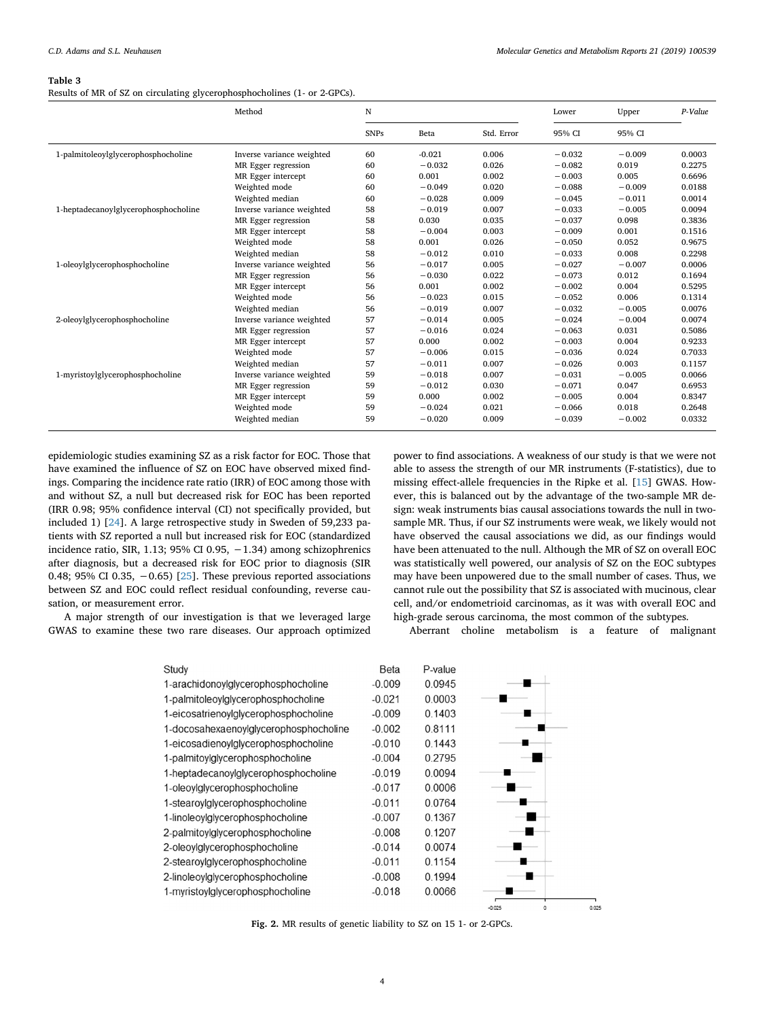#### <span id="page-3-0"></span>**Table 3**

Results of MR of SZ on circulating glycerophosphocholines (1- or 2-GPCs).

|                                      | Method                    | N           |          |            | Lower    | Upper    | P-Value |
|--------------------------------------|---------------------------|-------------|----------|------------|----------|----------|---------|
|                                      |                           | <b>SNPs</b> | Beta     | Std. Error | 95% CI   | 95% CI   |         |
| 1-palmitoleoylglycerophosphocholine  | Inverse variance weighted | 60          | $-0.021$ | 0.006      | $-0.032$ | $-0.009$ | 0.0003  |
|                                      | MR Egger regression       | 60          | $-0.032$ | 0.026      | $-0.082$ | 0.019    | 0.2275  |
|                                      | MR Egger intercept        | 60          | 0.001    | 0.002      | $-0.003$ | 0.005    | 0.6696  |
|                                      | Weighted mode             | 60          | $-0.049$ | 0.020      | $-0.088$ | $-0.009$ | 0.0188  |
|                                      | Weighted median           | 60          | $-0.028$ | 0.009      | $-0.045$ | $-0.011$ | 0.0014  |
| 1-heptadecanoylglycerophosphocholine | Inverse variance weighted | 58          | $-0.019$ | 0.007      | $-0.033$ | $-0.005$ | 0.0094  |
|                                      | MR Egger regression       | 58          | 0.030    | 0.035      | $-0.037$ | 0.098    | 0.3836  |
|                                      | MR Egger intercept        | 58          | $-0.004$ | 0.003      | $-0.009$ | 0.001    | 0.1516  |
|                                      | Weighted mode             | 58          | 0.001    | 0.026      | $-0.050$ | 0.052    | 0.9675  |
|                                      | Weighted median           | 58          | $-0.012$ | 0.010      | $-0.033$ | 0.008    | 0.2298  |
| 1-oleoylglycerophosphocholine        | Inverse variance weighted | 56          | $-0.017$ | 0.005      | $-0.027$ | $-0.007$ | 0.0006  |
|                                      | MR Egger regression       | 56          | $-0.030$ | 0.022      | $-0.073$ | 0.012    | 0.1694  |
|                                      | MR Egger intercept        | 56          | 0.001    | 0.002      | $-0.002$ | 0.004    | 0.5295  |
|                                      | Weighted mode             | 56          | $-0.023$ | 0.015      | $-0.052$ | 0.006    | 0.1314  |
|                                      | Weighted median           | 56          | $-0.019$ | 0.007      | $-0.032$ | $-0.005$ | 0.0076  |
| 2-oleoylglycerophosphocholine        | Inverse variance weighted | 57          | $-0.014$ | 0.005      | $-0.024$ | $-0.004$ | 0.0074  |
|                                      | MR Egger regression       | 57          | $-0.016$ | 0.024      | $-0.063$ | 0.031    | 0.5086  |
|                                      | MR Egger intercept        | 57          | 0.000    | 0.002      | $-0.003$ | 0.004    | 0.9233  |
|                                      | Weighted mode             | 57          | $-0.006$ | 0.015      | $-0.036$ | 0.024    | 0.7033  |
|                                      | Weighted median           | 57          | $-0.011$ | 0.007      | $-0.026$ | 0.003    | 0.1157  |
| 1-myristoylglycerophosphocholine     | Inverse variance weighted | 59          | $-0.018$ | 0.007      | $-0.031$ | $-0.005$ | 0.0066  |
|                                      | MR Egger regression       | 59          | $-0.012$ | 0.030      | $-0.071$ | 0.047    | 0.6953  |
|                                      | MR Egger intercept        | 59          | 0.000    | 0.002      | $-0.005$ | 0.004    | 0.8347  |
|                                      | Weighted mode             | 59          | $-0.024$ | 0.021      | $-0.066$ | 0.018    | 0.2648  |
|                                      | Weighted median           | 59          | $-0.020$ | 0.009      | $-0.039$ | $-0.002$ | 0.0332  |

epidemiologic studies examining SZ as a risk factor for EOC. Those that have examined the influence of SZ on EOC have observed mixed findings. Comparing the incidence rate ratio (IRR) of EOC among those with and without SZ, a null but decreased risk for EOC has been reported (IRR 0.98; 95% confidence interval (CI) not specifically provided, but included 1) [\[24](#page-4-23)]. A large retrospective study in Sweden of 59,233 patients with SZ reported a null but increased risk for EOC (standardized incidence ratio, SIR, 1.13; 95% CI 0.95, −1.34) among schizophrenics after diagnosis, but a decreased risk for EOC prior to diagnosis (SIR 0.48; 95% CI 0.35,  $-0.65$ ) [[25\]](#page-4-24). These previous reported associations between SZ and EOC could reflect residual confounding, reverse causation, or measurement error.

<span id="page-3-1"></span>A major strength of our investigation is that we leveraged large GWAS to examine these two rare diseases. Our approach optimized power to find associations. A weakness of our study is that we were not able to assess the strength of our MR instruments (F-statistics), due to missing effect-allele frequencies in the Ripke et al. [\[15\]](#page-4-14) GWAS. However, this is balanced out by the advantage of the two-sample MR design: weak instruments bias causal associations towards the null in twosample MR. Thus, if our SZ instruments were weak, we likely would not have observed the causal associations we did, as our findings would have been attenuated to the null. Although the MR of SZ on overall EOC was statistically well powered, our analysis of SZ on the EOC subtypes may have been unpowered due to the small number of cases. Thus, we cannot rule out the possibility that SZ is associated with mucinous, clear cell, and/or endometrioid carcinomas, as it was with overall EOC and high-grade serous carcinoma, the most common of the subtypes.

Aberrant choline metabolism is a feature of malignant



**Fig. 2.** MR results of genetic liability to SZ on 15 1- or 2-GPCs.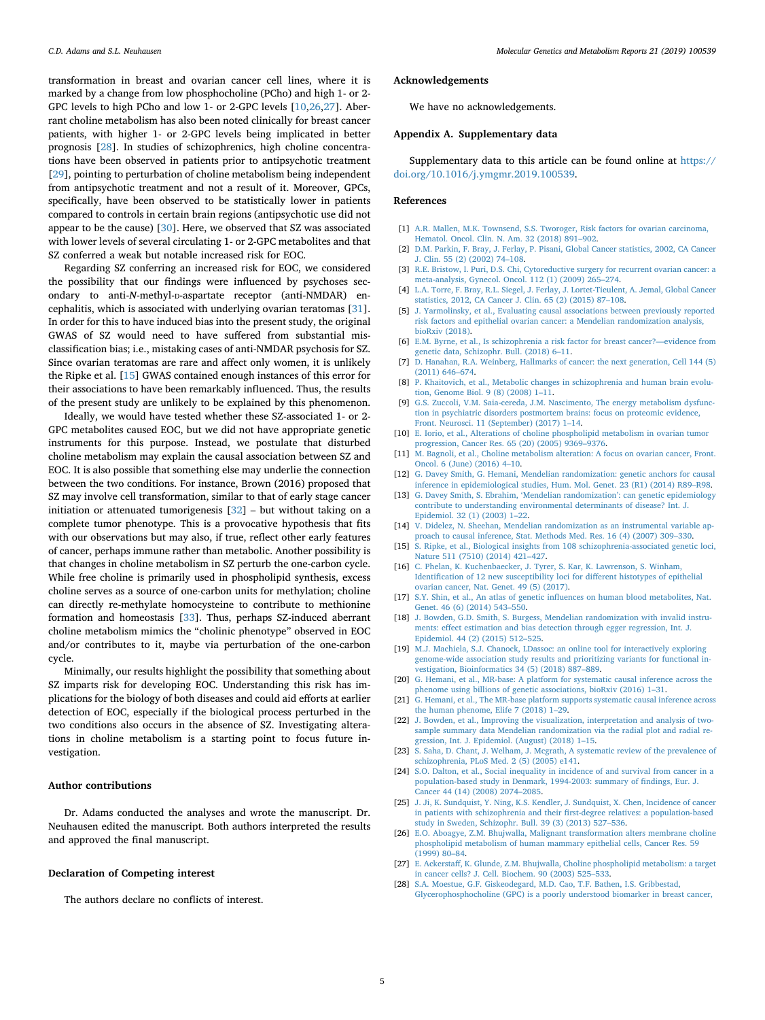transformation in breast and ovarian cancer cell lines, where it is marked by a change from low phosphocholine (PCho) and high 1- or 2- GPC levels to high PCho and low 1- or 2-GPC levels [[10,](#page-4-9)[26,](#page-4-25)[27](#page-4-26)]. Aberrant choline metabolism has also been noted clinically for breast cancer patients, with higher 1- or 2-GPC levels being implicated in better prognosis [\[28](#page-4-27)]. In studies of schizophrenics, high choline concentrations have been observed in patients prior to antipsychotic treatment [[29\]](#page-5-0), pointing to perturbation of choline metabolism being independent from antipsychotic treatment and not a result of it. Moreover, GPCs, specifically, have been observed to be statistically lower in patients compared to controls in certain brain regions (antipsychotic use did not appear to be the cause) [\[30](#page-5-1)]. Here, we observed that SZ was associated with lower levels of several circulating 1- or 2-GPC metabolites and that SZ conferred a weak but notable increased risk for EOC.

Regarding SZ conferring an increased risk for EOC, we considered the possibility that our findings were influenced by psychoses secondary to anti-*N*-methyl-D-aspartate receptor (anti-NMDAR) encephalitis, which is associated with underlying ovarian teratomas [\[31](#page-5-2)]. In order for this to have induced bias into the present study, the original GWAS of SZ would need to have suffered from substantial misclassification bias; i.e., mistaking cases of anti-NMDAR psychosis for SZ. Since ovarian teratomas are rare and affect only women, it is unlikely the Ripke et al. [\[15](#page-4-14)] GWAS contained enough instances of this error for their associations to have been remarkably influenced. Thus, the results of the present study are unlikely to be explained by this phenomenon.

Ideally, we would have tested whether these SZ-associated 1- or 2- GPC metabolites caused EOC, but we did not have appropriate genetic instruments for this purpose. Instead, we postulate that disturbed choline metabolism may explain the causal association between SZ and EOC. It is also possible that something else may underlie the connection between the two conditions. For instance, Brown (2016) proposed that SZ may involve cell transformation, similar to that of early stage cancer initiation or attenuated tumorigenesis  $[32]$  $[32]$  – but without taking on a complete tumor phenotype. This is a provocative hypothesis that fits with our observations but may also, if true, reflect other early features of cancer, perhaps immune rather than metabolic. Another possibility is that changes in choline metabolism in SZ perturb the one-carbon cycle. While free choline is primarily used in phospholipid synthesis, excess choline serves as a source of one‑carbon units for methylation; choline can directly re-methylate homocysteine to contribute to methionine formation and homeostasis [[33\]](#page-5-4). Thus, perhaps SZ-induced aberrant choline metabolism mimics the "cholinic phenotype" observed in EOC and/or contributes to it, maybe via perturbation of the one‑carbon cycle.

Minimally, our results highlight the possibility that something about SZ imparts risk for developing EOC. Understanding this risk has implications for the biology of both diseases and could aid efforts at earlier detection of EOC, especially if the biological process perturbed in the two conditions also occurs in the absence of SZ. Investigating alterations in choline metabolism is a starting point to focus future investigation.

# **Author contributions**

Dr. Adams conducted the analyses and wrote the manuscript. Dr. Neuhausen edited the manuscript. Both authors interpreted the results and approved the final manuscript.

# **Declaration of Competing interest**

The authors declare no conflicts of interest.

# **Acknowledgements**

We have no acknowledgements.

#### **Appendix A. Supplementary data**

Supplementary data to this article can be found online at [https://](https://doi.org/10.1016/j.ymgmr.2019.100539) [doi.org/10.1016/j.ymgmr.2019.100539.](https://doi.org/10.1016/j.ymgmr.2019.100539)

# **References**

- <span id="page-4-0"></span>[1] [A.R. Mallen, M.K. Townsend, S.S. Tworoger, Risk factors for ovarian carcinoma,](http://refhub.elsevier.com/S2214-4269(19)30194-6/rf0005) [Hematol. Oncol. Clin. N. Am. 32 \(2018\) 891–902.](http://refhub.elsevier.com/S2214-4269(19)30194-6/rf0005)
- <span id="page-4-1"></span>[2] [D.M. Parkin, F. Bray, J. Ferlay, P. Pisani, Global Cancer statistics, 2002, CA Cancer](http://refhub.elsevier.com/S2214-4269(19)30194-6/rf0010) [J. Clin. 55 \(2\) \(2002\) 74–108.](http://refhub.elsevier.com/S2214-4269(19)30194-6/rf0010)
- <span id="page-4-2"></span>[3] [R.E. Bristow, I. Puri, D.S. Chi, Cytoreductive surgery for recurrent ovarian cancer: a](http://refhub.elsevier.com/S2214-4269(19)30194-6/rf0015) [meta-analysis, Gynecol. Oncol. 112 \(1\) \(2009\) 265–274.](http://refhub.elsevier.com/S2214-4269(19)30194-6/rf0015)
- <span id="page-4-3"></span>[4] [L.A. Torre, F. Bray, R.L. Siegel, J. Ferlay, J. Lortet-Tieulent, A. Jemal, Global Cancer](http://refhub.elsevier.com/S2214-4269(19)30194-6/rf0020) [statistics, 2012, CA Cancer J. Clin. 65 \(2\) \(2015\) 87–108.](http://refhub.elsevier.com/S2214-4269(19)30194-6/rf0020)
- <span id="page-4-4"></span>[5] [J. Yarmolinsky, et al., Evaluating causal associations between previously reported](http://refhub.elsevier.com/S2214-4269(19)30194-6/rf0025) [risk factors and epithelial ovarian cancer: a Mendelian randomization analysis,](http://refhub.elsevier.com/S2214-4269(19)30194-6/rf0025) [bioRxiv \(2018\).](http://refhub.elsevier.com/S2214-4269(19)30194-6/rf0025)
- <span id="page-4-5"></span>[6] [E.M. Byrne, et al., Is schizophrenia a risk factor for breast cancer?—evidence from](http://refhub.elsevier.com/S2214-4269(19)30194-6/rf0030) [genetic data, Schizophr. Bull. \(2018\) 6–11.](http://refhub.elsevier.com/S2214-4269(19)30194-6/rf0030)
- <span id="page-4-6"></span>[7] [D. Hanahan, R.A. Weinberg, Hallmarks of cancer: the next generation, Cell 144 \(5\)](http://refhub.elsevier.com/S2214-4269(19)30194-6/rf0035) [\(2011\) 646–674.](http://refhub.elsevier.com/S2214-4269(19)30194-6/rf0035)
- <span id="page-4-7"></span>[8] [P. Khaitovich, et al., Metabolic changes in schizophrenia and human brain evolu](http://refhub.elsevier.com/S2214-4269(19)30194-6/rf0040)[tion, Genome Biol. 9 \(8\) \(2008\) 1–11.](http://refhub.elsevier.com/S2214-4269(19)30194-6/rf0040)
- <span id="page-4-8"></span>[9] [G.S. Zuccoli, V.M. Saia-cereda, J.M. Nascimento, The energy metabolism dysfunc](http://refhub.elsevier.com/S2214-4269(19)30194-6/rf0045)[tion in psychiatric disorders postmortem brains: focus on proteomic evidence,](http://refhub.elsevier.com/S2214-4269(19)30194-6/rf0045) [Front. Neurosci. 11 \(September\) \(2017\) 1–14.](http://refhub.elsevier.com/S2214-4269(19)30194-6/rf0045)
- <span id="page-4-9"></span>[10] [E. Iorio, et al., Alterations of choline phospholipid metabolism in ovarian tumor](http://refhub.elsevier.com/S2214-4269(19)30194-6/rf0050) [progression, Cancer Res. 65 \(20\) \(2005\) 9369–9376.](http://refhub.elsevier.com/S2214-4269(19)30194-6/rf0050)
- <span id="page-4-10"></span>[11] [M. Bagnoli, et al., Choline metabolism alteration: A focus on ovarian cancer, Front.](http://refhub.elsevier.com/S2214-4269(19)30194-6/rf0055) [Oncol. 6 \(June\) \(2016\) 4–10.](http://refhub.elsevier.com/S2214-4269(19)30194-6/rf0055)
- <span id="page-4-11"></span>[12] [G. Davey Smith, G. Hemani, Mendelian randomization: genetic anchors for causal](http://refhub.elsevier.com/S2214-4269(19)30194-6/rf0060) [inference in epidemiological studies, Hum. Mol. Genet. 23 \(R1\) \(2014\) R89–R98.](http://refhub.elsevier.com/S2214-4269(19)30194-6/rf0060)
- <span id="page-4-12"></span>[13] [G. Davey Smith, S. Ebrahim, 'Mendelian randomization': can genetic epidemiology](http://refhub.elsevier.com/S2214-4269(19)30194-6/rf0065) [contribute to understanding environmental determinants of disease? Int. J.](http://refhub.elsevier.com/S2214-4269(19)30194-6/rf0065) [Epidemiol. 32 \(1\) \(2003\) 1–22.](http://refhub.elsevier.com/S2214-4269(19)30194-6/rf0065)
- <span id="page-4-13"></span>[14] [V. Didelez, N. Sheehan, Mendelian randomization as an instrumental variable ap](http://refhub.elsevier.com/S2214-4269(19)30194-6/rf0070)[proach to causal inference, Stat. Methods Med. Res. 16 \(4\) \(2007\) 309–330.](http://refhub.elsevier.com/S2214-4269(19)30194-6/rf0070)
- <span id="page-4-14"></span>[15] [S. Ripke, et al., Biological insights from 108 schizophrenia-associated genetic loci,](http://refhub.elsevier.com/S2214-4269(19)30194-6/rf0075) [Nature 511 \(7510\) \(2014\) 421–427.](http://refhub.elsevier.com/S2214-4269(19)30194-6/rf0075)
- <span id="page-4-15"></span>[16] [C. Phelan, K. Kuchenbaecker, J. Tyrer, S. Kar, K. Lawrenson, S. Winham,](http://refhub.elsevier.com/S2214-4269(19)30194-6/rf0080) [Identification of 12 new susceptibility loci for different histotypes of epithelial](http://refhub.elsevier.com/S2214-4269(19)30194-6/rf0080) [ovarian cancer, Nat. Genet. 49 \(5\) \(2017\).](http://refhub.elsevier.com/S2214-4269(19)30194-6/rf0080)
- <span id="page-4-16"></span>[17] [S.Y. Shin, et al., An atlas of genetic influences on human blood metabolites, Nat.](http://refhub.elsevier.com/S2214-4269(19)30194-6/rf0085) [Genet. 46 \(6\) \(2014\) 543–550.](http://refhub.elsevier.com/S2214-4269(19)30194-6/rf0085)
- <span id="page-4-17"></span>[18] [J. Bowden, G.D. Smith, S. Burgess, Mendelian randomization with invalid instru](http://refhub.elsevier.com/S2214-4269(19)30194-6/rf0090)[ments: effect estimation and bias detection through egger regression, Int. J.](http://refhub.elsevier.com/S2214-4269(19)30194-6/rf0090) [Epidemiol. 44 \(2\) \(2015\) 512–525.](http://refhub.elsevier.com/S2214-4269(19)30194-6/rf0090)
- <span id="page-4-18"></span>[19] [M.J. Machiela, S.J. Chanock, LDassoc: an online tool for interactively exploring](http://refhub.elsevier.com/S2214-4269(19)30194-6/rf0095) [genome-wide association study results and prioritizing variants for functional in](http://refhub.elsevier.com/S2214-4269(19)30194-6/rf0095)[vestigation, Bioinformatics 34 \(5\) \(2018\) 887–889.](http://refhub.elsevier.com/S2214-4269(19)30194-6/rf0095)
- <span id="page-4-19"></span>[20] [G. Hemani, et al., MR-base: A platform for systematic causal inference across the](http://refhub.elsevier.com/S2214-4269(19)30194-6/rf0100) [phenome using billions of genetic associations, bioRxiv \(2016\) 1–31.](http://refhub.elsevier.com/S2214-4269(19)30194-6/rf0100)
- <span id="page-4-20"></span>[21] [G. Hemani, et al., The MR-base platform supports systematic causal inference across](http://refhub.elsevier.com/S2214-4269(19)30194-6/rf0105) [the human phenome, Elife 7 \(2018\) 1–29.](http://refhub.elsevier.com/S2214-4269(19)30194-6/rf0105)
- <span id="page-4-21"></span>[22] [J. Bowden, et al., Improving the visualization, interpretation and analysis of two](http://refhub.elsevier.com/S2214-4269(19)30194-6/rf0110)[sample summary data Mendelian randomization via the radial plot and radial re](http://refhub.elsevier.com/S2214-4269(19)30194-6/rf0110)[gression, Int. J. Epidemiol. \(August\) \(2018\) 1–15.](http://refhub.elsevier.com/S2214-4269(19)30194-6/rf0110)
- <span id="page-4-22"></span>[23] [S. Saha, D. Chant, J. Welham, J. Mcgrath, A systematic review of the prevalence of](http://refhub.elsevier.com/S2214-4269(19)30194-6/rf0115) [schizophrenia, PLoS Med. 2 \(5\) \(2005\) e141.](http://refhub.elsevier.com/S2214-4269(19)30194-6/rf0115)
- <span id="page-4-23"></span>[24] [S.O. Dalton, et al., Social inequality in incidence of and survival from cancer in a](http://refhub.elsevier.com/S2214-4269(19)30194-6/rf0120) [population-based study in Denmark, 1994-2003: summary of findings, Eur. J.](http://refhub.elsevier.com/S2214-4269(19)30194-6/rf0120) [Cancer 44 \(14\) \(2008\) 2074–2085.](http://refhub.elsevier.com/S2214-4269(19)30194-6/rf0120)
- <span id="page-4-24"></span>[25] [J. Ji, K. Sundquist, Y. Ning, K.S. Kendler, J. Sundquist, X. Chen, Incidence of cancer](http://refhub.elsevier.com/S2214-4269(19)30194-6/rf0125) [in patients with schizophrenia and their first-degree relatives: a population-based](http://refhub.elsevier.com/S2214-4269(19)30194-6/rf0125) [study in Sweden, Schizophr. Bull. 39 \(3\) \(2013\) 527–536.](http://refhub.elsevier.com/S2214-4269(19)30194-6/rf0125)
- <span id="page-4-25"></span>[26] [E.O. Aboagye, Z.M. Bhujwalla, Malignant transformation alters membrane choline](http://refhub.elsevier.com/S2214-4269(19)30194-6/rf0130) [phospholipid metabolism of human mammary epithelial cells, Cancer Res. 59](http://refhub.elsevier.com/S2214-4269(19)30194-6/rf0130) [\(1999\) 80–84.](http://refhub.elsevier.com/S2214-4269(19)30194-6/rf0130)
- <span id="page-4-26"></span>[27] [E. Ackerstaff, K. Glunde, Z.M. Bhujwalla, Choline phospholipid metabolism: a target](http://refhub.elsevier.com/S2214-4269(19)30194-6/rf0135) [in cancer cells? J. Cell. Biochem. 90 \(2003\) 525–533.](http://refhub.elsevier.com/S2214-4269(19)30194-6/rf0135)
- <span id="page-4-27"></span>[28] [S.A. Moestue, G.F. Giskeodegard, M.D. Cao, T.F. Bathen, I.S. Gribbestad,](http://refhub.elsevier.com/S2214-4269(19)30194-6/rf0140) [Glycerophosphocholine \(GPC\) is a poorly understood biomarker in breast cancer,](http://refhub.elsevier.com/S2214-4269(19)30194-6/rf0140)